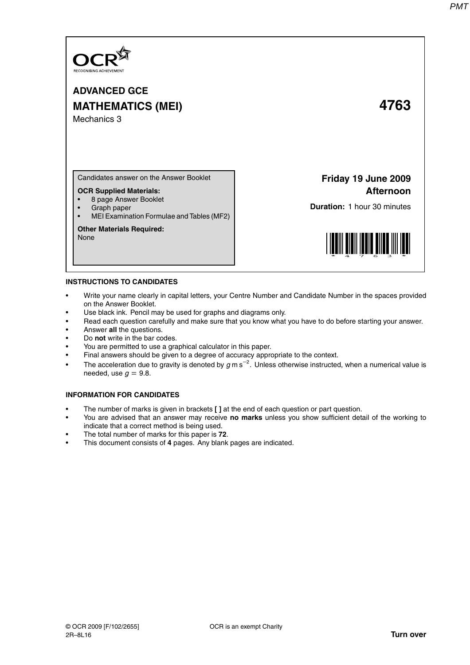

# **ADVANCED GCE MATHEMATICS (MEI) 4763** Mechanics 3

Candidates answer on the Answer Booklet

## **OCR Supplied Materials:**

- 8 page Answer Booklet
- Graph paper
- MEI Examination Formulae and Tables (MF2)

#### **Other Materials Required:**

None

**Friday 19 June 2009 Afternoon**

**Duration:** 1 hour 30 minutes



### **INSTRUCTIONS TO CANDIDATES**

- Write your name clearly in capital letters, your Centre Number and Candidate Number in the spaces provided on the Answer Booklet.
- Use black ink. Pencil may be used for graphs and diagrams only.
- Read each question carefully and make sure that you know what you have to do before starting your answer.
- Answer **all** the questions.
- Do **not** write in the bar codes.
- You are permitted to use a graphical calculator in this paper.
- Final answers should be given to a degree of accuracy appropriate to the context.
- The acceleration due to gravity is denoted by  $g$  m s<sup>-2</sup>. Unless otherwise instructed, when a numerical value is needed, use  $q = 9.8$ .

### **INFORMATION FOR CANDIDATES**

- The number of marks is given in brackets **[ ]** at the end of each question or part question.
- You are advised that an answer may receive **no marks** unless you show sufficient detail of the working to indicate that a correct method is being used.
- The total number of marks for this paper is **72**.
- This document consists of **4** pages. Any blank pages are indicated.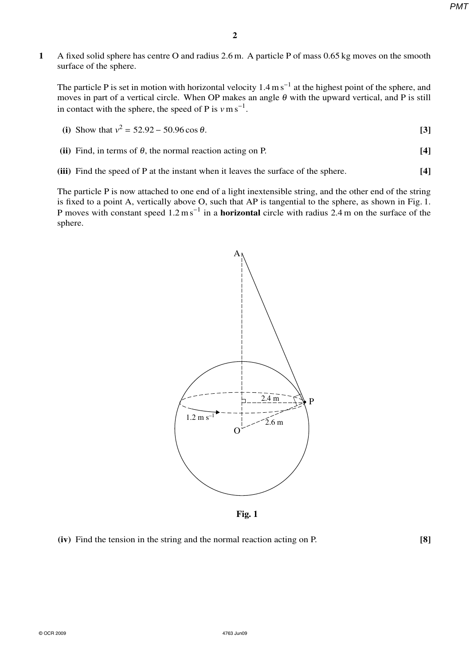*PMT*

**1** A fixed solid sphere has centre O and radius 2.6 m. A particle P of mass 0.65 kg moves on the smooth surface of the sphere.

The particle P is set in motion with horizontal velocity  $1.4 \text{ m s}^{-1}$  at the highest point of the sphere, and moves in part of a vertical circle. When OP makes an angle  $\theta$  with the upward vertical, and P is still in contact with the sphere, the speed of P is  $v \text{ m s}^{-1}$ .

(i) Show that 
$$
v^2 = 52.92 - 50.96 \cos \theta
$$
. [3]

- **(ii)** Find, in terms of  $\theta$ , the normal reaction acting on P. **[4]**
- **(iii)** Find the speed of P at the instant when it leaves the surface of the sphere. **[4]**

The particle P is now attached to one end of a light inextensible string, and the other end of the string is fixed to a point A, vertically above O, such that AP is tangential to the sphere, as shown in Fig. 1. P moves with constant speed 1.2 m s<sup>-1</sup> in a **horizontal** circle with radius 2.4 m on the surface of the sphere.



**Fig. 1**

**(iv)** Find the tension in the string and the normal reaction acting on P. **[8]**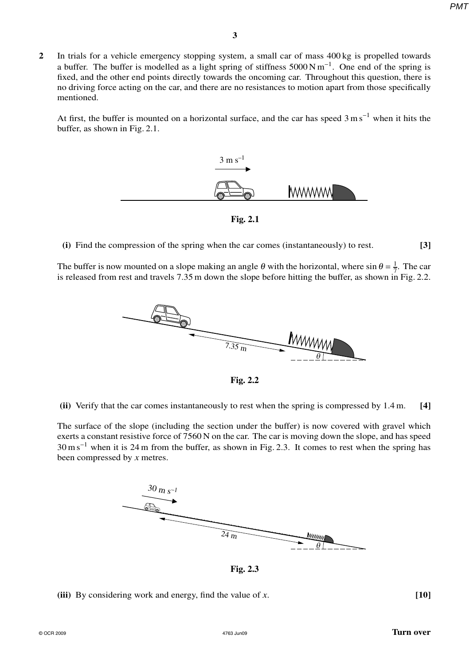*PMT*

**2** In trials for a vehicle emergency stopping system, a small car of mass 400 kg is propelled towards a buffer. The buffer is modelled as a light spring of stiffness  $5000 \text{ N m}^{-1}$ . One end of the spring is fixed, and the other end points directly towards the oncoming car. Throughout this question, there is no driving force acting on the car, and there are no resistances to motion apart from those specifically mentioned.

At first, the buffer is mounted on a horizontal surface, and the car has speed  $3 \text{ m s}^{-1}$  when it hits the buffer, as shown in Fig. 2.1.



**Fig. 2.1**

**(i)** Find the compression of the spring when the car comes (instantaneously) to rest. **[3]**

The buffer is now mounted on a slope making an angle  $\theta$  with the horizontal, where sin  $\theta = \frac{1}{7}$  $rac{1}{7}$ . The car is released from rest and travels 7.35 m down the slope before hitting the buffer, as shown in Fig. 2.2.



**Fig. 2.2**

**(ii)** Verify that the car comes instantaneously to rest when the spring is compressed by 1.4 m. **[4]**

The surface of the slope (including the section under the buffer) is now covered with gravel which exerts a constant resistive force of 7560 N on the car. The car is moving down the slope, and has speed 30 m s<sup>−</sup><sup>1</sup> when it is 24 m from the buffer, as shown in Fig. 2.3. It comes to rest when the spring has been compressed by *x* metres.



**Fig. 2.3**

**(iii)** By considering work and energy, find the value of *x*. **[10]**